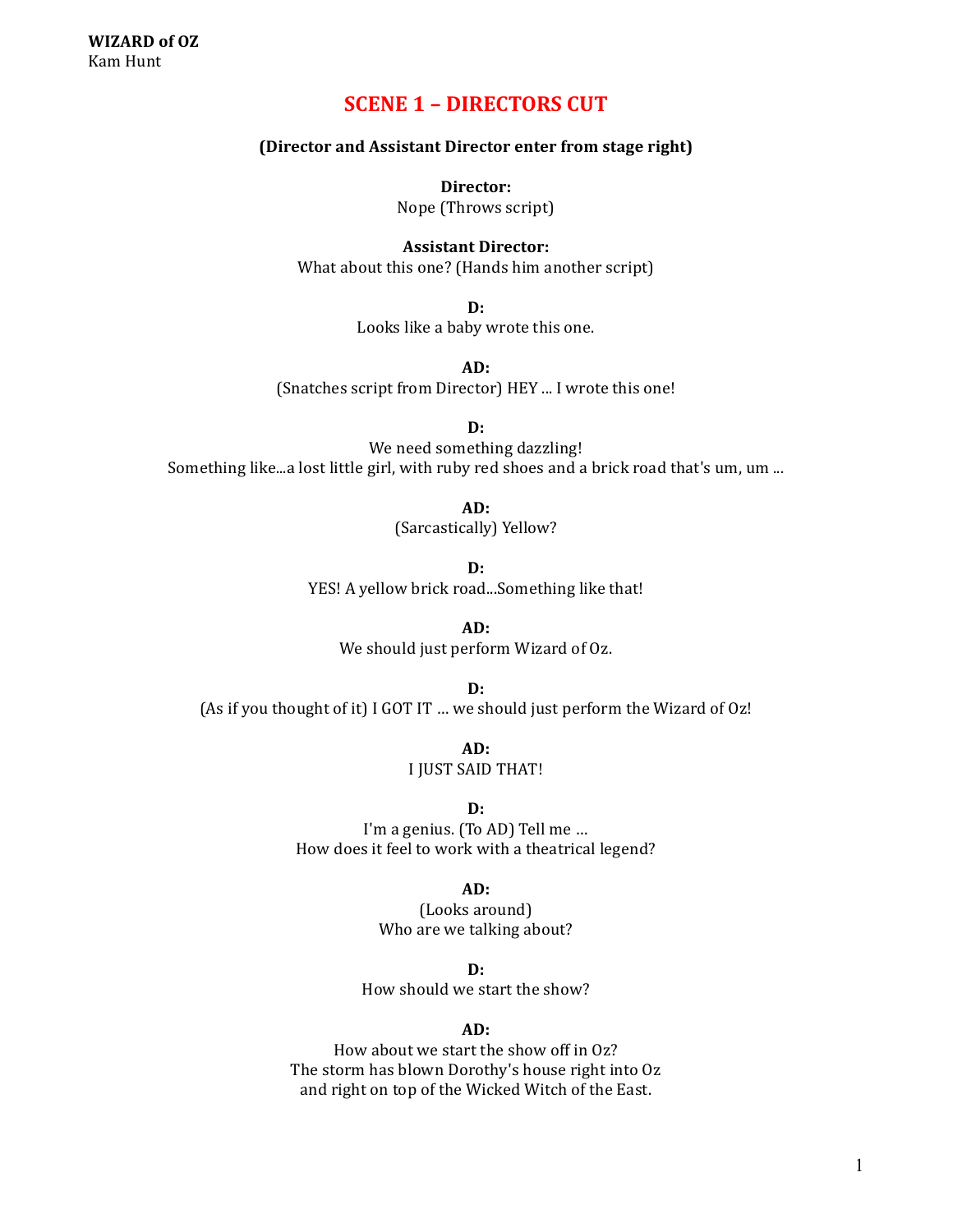# **SCENE 1 - DIRECTORS CUT**

## **(Director and Assistant Director enter from stage right)**

**Director:**

Nope (Throws script)

**Assistant Director:**

What about this one? (Hands him another script)

**D:** Looks like a baby wrote this one.

**AD:** (Snatches script from Director) HEY ... I wrote this one!

**D:**

We need something dazzling! Something like...a lost little girl, with ruby red shoes and a brick road that's um, um ...

**AD:**

(Sarcastically) Yellow?

**D:** YES! A yellow brick road...Something like that!

**AD:** We should just perform Wizard of Oz.

**D:** (As if you thought of it) I GOT IT ... we should just perform the Wizard of Oz!

> **AD:** I JUST SAID THAT!

> > **D:**

I'm a genius. (To AD) Tell me ... How does it feel to work with a theatrical legend?

**AD:**

(Looks around) Who are we talking about?

**D:**

How should we start the show?

### **AD:**

How about we start the show off in Oz? The storm has blown Dorothy's house right into Oz and right on top of the Wicked Witch of the East.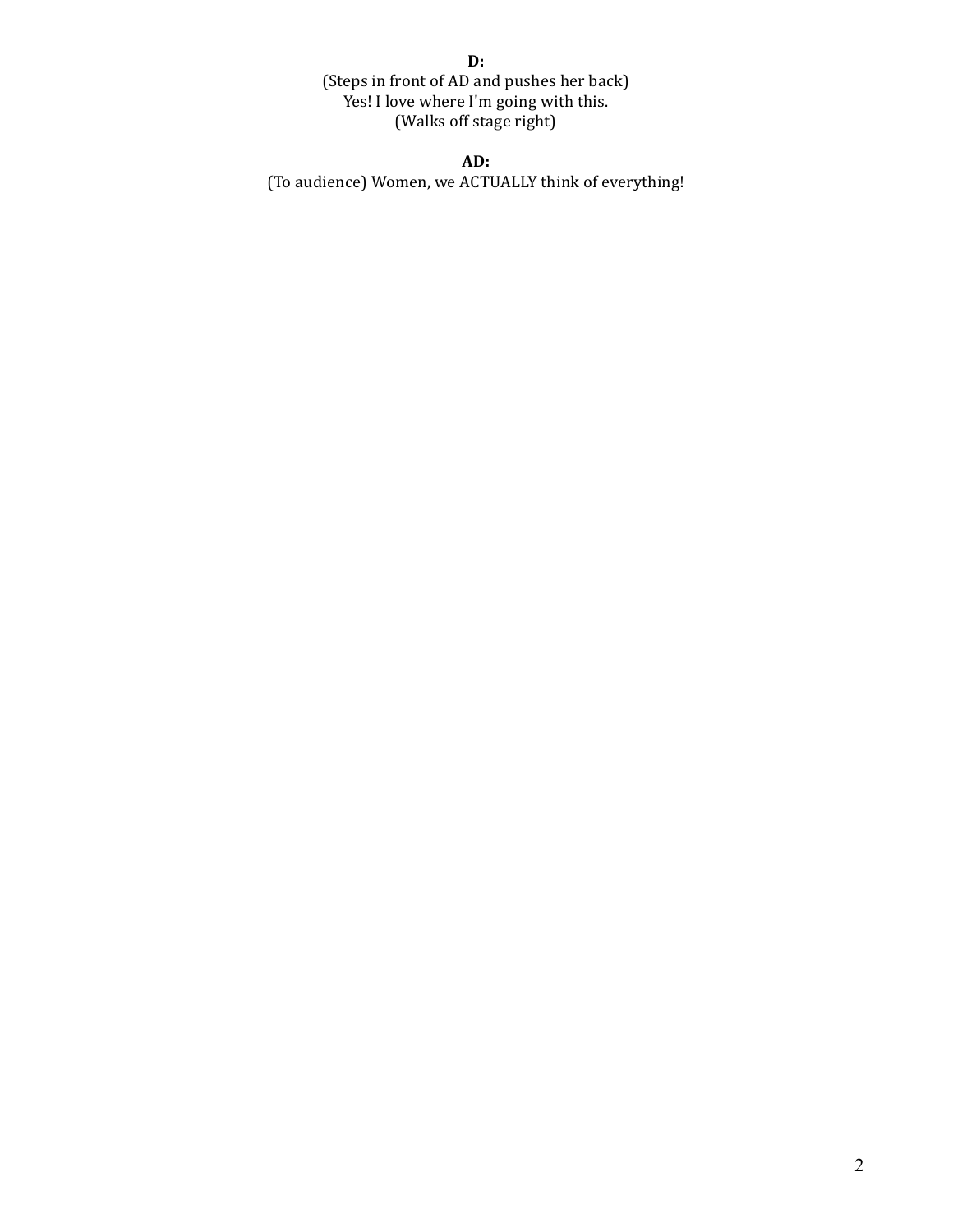**D:** (Steps in front of AD and pushes her back) Yes! I love where I'm going with this. (Walks off stage right)

**AD:**

(To audience) Women, we ACTUALLY think of everything!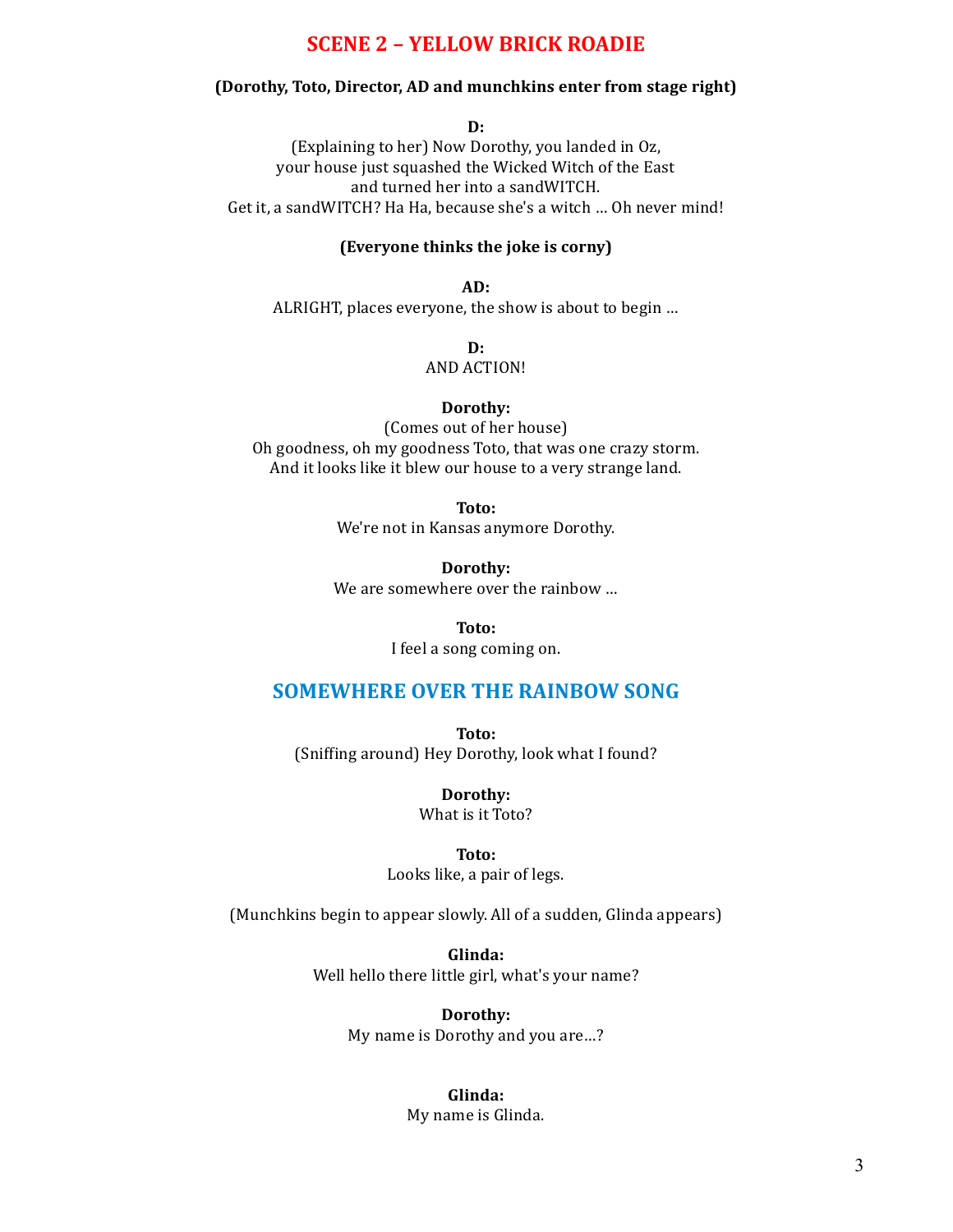# **SCENE 2 – YELLOW BRICK ROADIE**

### **(Dorothy, Toto, Director, AD and munchkins enter from stage right)**

**D:**

(Explaining to her) Now Dorothy, you landed in Oz, your house just squashed the Wicked Witch of the East and turned her into a sandWITCH. Get it, a sandWITCH? Ha Ha, because she's a witch ... Oh never mind!

## **(Everyone thinks the joke is corny)**

**AD:** ALRIGHT, places everyone, the show is about to begin ...

> **D: AND ACTION!**

#### **Dorothy:**

(Comes out of her house) Oh goodness, oh my goodness Toto, that was one crazy storm. And it looks like it blew our house to a very strange land.

**Toto:**

We're not in Kansas anymore Dorothy.

**Dorothy:** We are somewhere over the rainbow ...

**Toto:**

I feel a song coming on.

# **SOMEWHERE OVER THE RAINBOW SONG**

**Toto:**

(Sniffing around) Hey Dorothy, look what I found?

**Dorothy:**

What is it Toto?

**Toto:**

Looks like, a pair of legs.

(Munchkins begin to appear slowly. All of a sudden, Glinda appears)

**Glinda:** Well hello there little girl, what's your name?

> **Dorothy:** My name is Dorothy and you are...?

> > **Glinda:** My name is Glinda.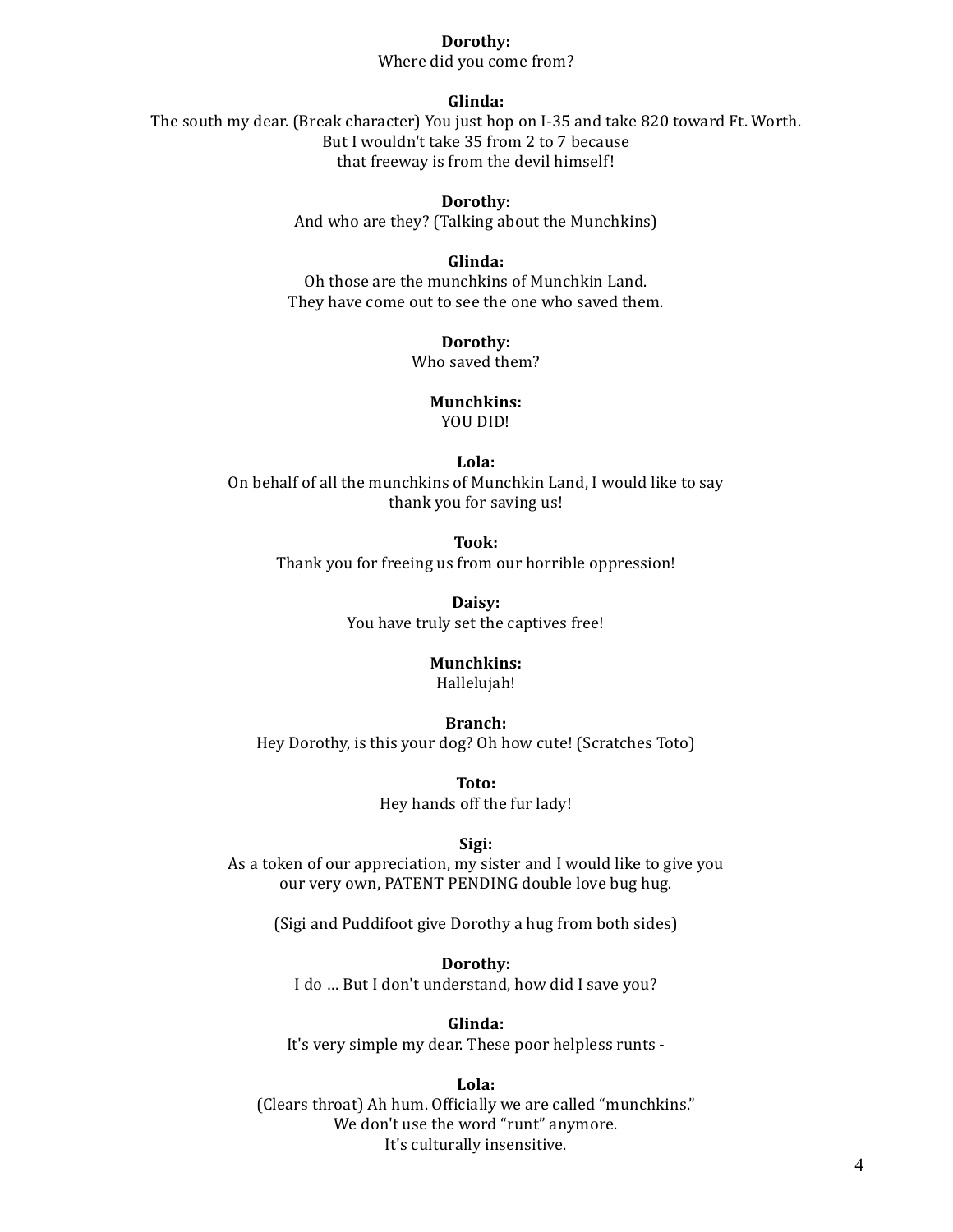#### **Dorothy:**

Where did you come from?

## **Glinda:**

The south my dear. (Break character) You just hop on I-35 and take 820 toward Ft. Worth. But I wouldn't take 35 from 2 to 7 because that freeway is from the devil himself!

> **Dorothy:** And who are they? (Talking about the Munchkins)

### **Glinda:**

Oh those are the munchkins of Munchkin Land. They have come out to see the one who saved them.

## **Dorothy:**

Who saved them?

# **Munchkins:**

YOU DID!

# **Lola:**

On behalf of all the munchkins of Munchkin Land, I would like to say thank you for saving us!

**Took:** Thank you for freeing us from our horrible oppression!

> **Daisy:** You have truly set the captives free!

#### **Munchkins:**

Hallelujah!

#### **Branch:**

Hey Dorothy, is this your dog? Oh how cute! (Scratches Toto)

**Toto:** Hey hands off the fur lady!

#### **Sigi:**

As a token of our appreciation, my sister and I would like to give you our very own, PATENT PENDING double love bug hug.

(Sigi and Puddifoot give Dorothy a hug from both sides)

**Dorothy:** I do ... But I don't understand, how did I save you?

#### **Glinda:**

It's very simple my dear. These poor helpless runts -

#### **Lola:**

(Clears throat) Ah hum. Officially we are called "munchkins." We don't use the word "runt" anymore. It's culturally insensitive.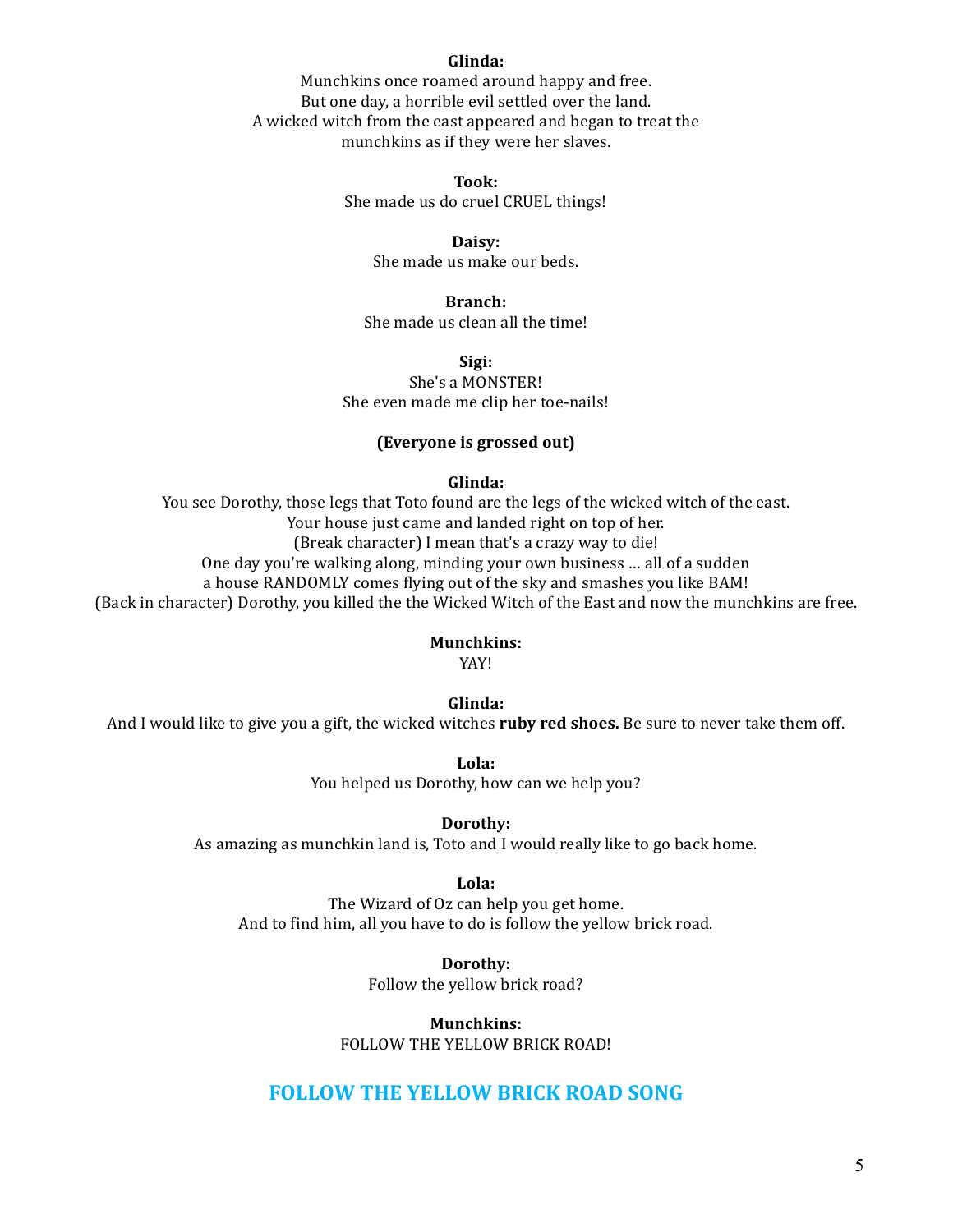### **Glinda:**

Munchkins once roamed around happy and free. But one day, a horrible evil settled over the land. A wicked witch from the east appeared and began to treat the munchkins as if they were her slaves.

### **Took:**

She made us do cruel CRUEL things!

### **Daisy:**

She made us make our beds.

#### **Branch:**

She made us clean all the time!

# **Sigi:**

She's a MONSTER! She even made me clip her toe-nails!

### **(Everyone is grossed out)**

#### **Glinda:**

You see Dorothy, those legs that Toto found are the legs of the wicked witch of the east. Your house just came and landed right on top of her. (Break character) I mean that's a crazy way to die! One day you're walking along, minding your own business ... all of a sudden a house RANDOMLY comes flying out of the sky and smashes you like BAM! (Back in character) Dorothy, you killed the the Wicked Witch of the East and now the munchkins are free.

### **Munchkins:**

YAY!

#### **Glinda:**

And I would like to give you a gift, the wicked witches ruby red shoes. Be sure to never take them off.

**Lola:** You helped us Dorothy, how can we help you?

#### **Dorothy:**

As amazing as munchkin land is, Toto and I would really like to go back home.

#### **Lola:**

The Wizard of Oz can help you get home. And to find him, all you have to do is follow the yellow brick road.

> **Dorothy:** Follow the yellow brick road?

**Munchkins:** FOLLOW THE YELLOW BRICK ROAD!

# **FOLLOW THE YELLOW BRICK ROAD SONG**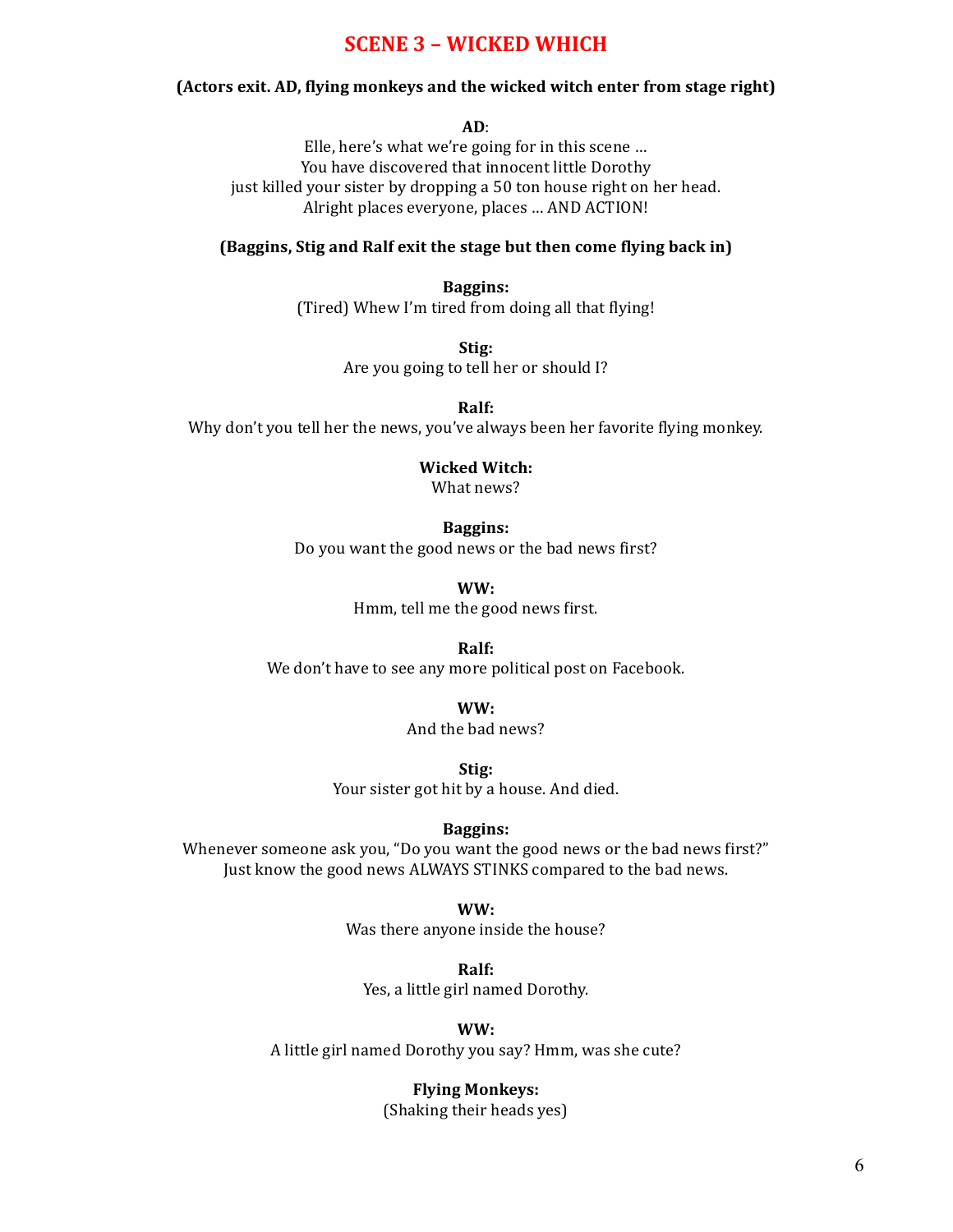# **SCENE 3 – WICKED WHICH**

## **(Actors exit. AD, flying monkeys and the wicked witch enter from stage right)**

**AD**:

Elle, here's what we're going for in this scene ... You have discovered that innocent little Dorothy just killed your sister by dropping a 50 ton house right on her head. Alright places everyone, places ... AND ACTION!

## **(Baggins, Stig and Ralf exit the stage but then come flying back in)**

**Baggins:** (Tired) Whew I'm tired from doing all that flying!

> **Stig:** Are you going to tell her or should I?

**Ralf:** Why don't you tell her the news, you've always been her favorite flying monkey.

**Wicked Witch:**

What news?

#### **Baggins:**

Do you want the good news or the bad news first?

**WW:**

Hmm, tell me the good news first.

**Ralf:**

We don't have to see any more political post on Facebook.

**WW:**

And the bad news?

**Stig:**

Your sister got hit by a house. And died.

### **Baggins:**

Whenever someone ask you, "Do you want the good news or the bad news first?" Just know the good news ALWAYS STINKS compared to the bad news.

**WW:**

Was there anyone inside the house?

**Ralf:**

Yes, a little girl named Dorothy.

**WW:**

A little girl named Dorothy you say? Hmm, was she cute?

**Flying Monkeys:** 

(Shaking their heads yes)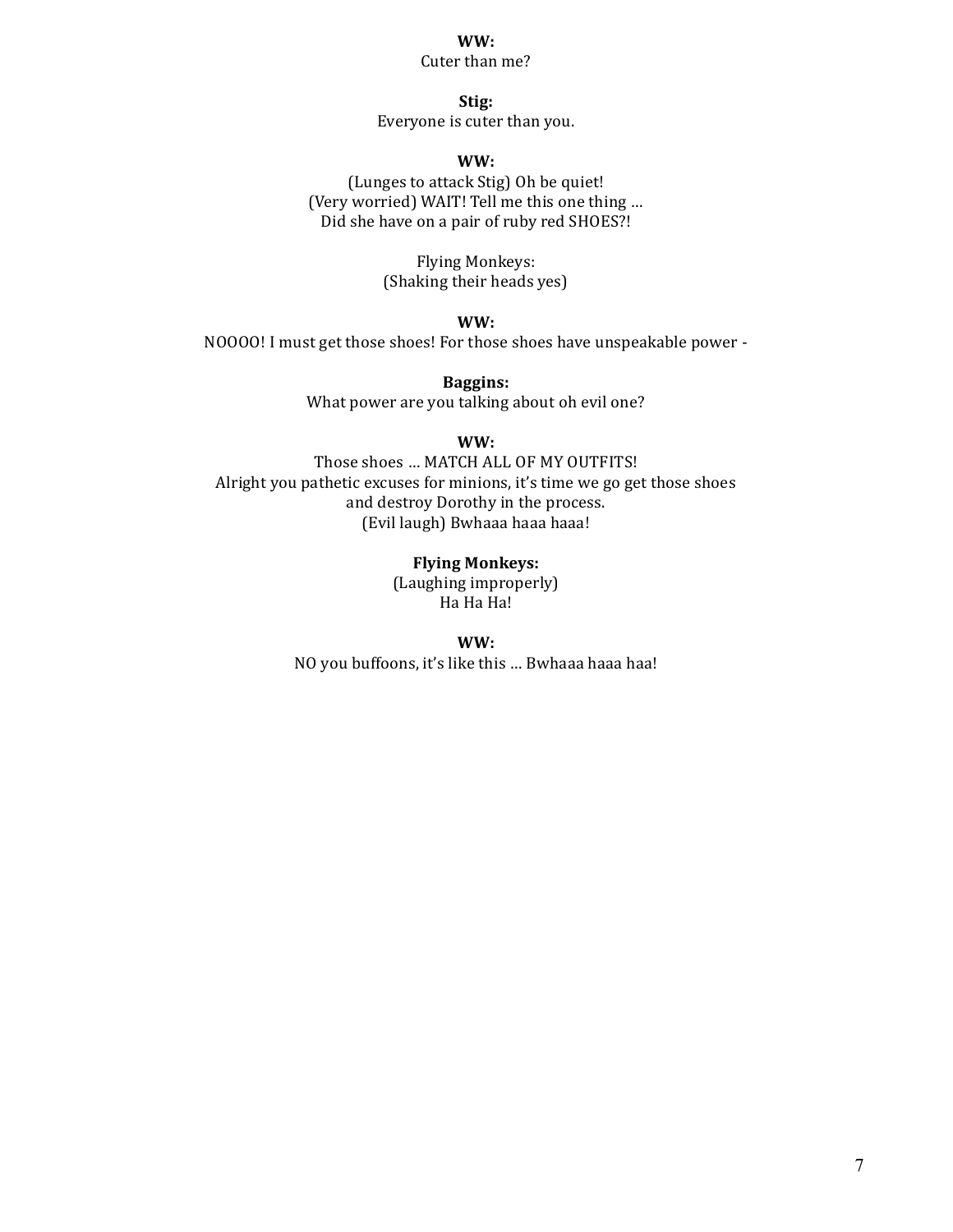## **WW:**

Cuter than me?

**Stig:** Everyone is cuter than you.

### **WW:**

(Lunges to attack Stig) Oh be quiet! (Very worried) WAIT! Tell me this one thing ... Did she have on a pair of ruby red SHOES?!

> Flying Monkeys: (Shaking their heads yes)

> > **WW:**

NOOOO! I must get those shoes! For those shoes have unspeakable power -

**Baggins:** What power are you talking about oh evil one?

**WW:**

Those shoes ... MATCH ALL OF MY OUTFITS! Alright you pathetic excuses for minions, it's time we go get those shoes and destroy Dorothy in the process. (Evil laugh) Bwhaaa haaa haaa!

> **Flying Monkeys:** (Laughing improperly) Ha Ha Ha!

**WW:** NO you buffoons, it's like this ... Bwhaaa haaa haa!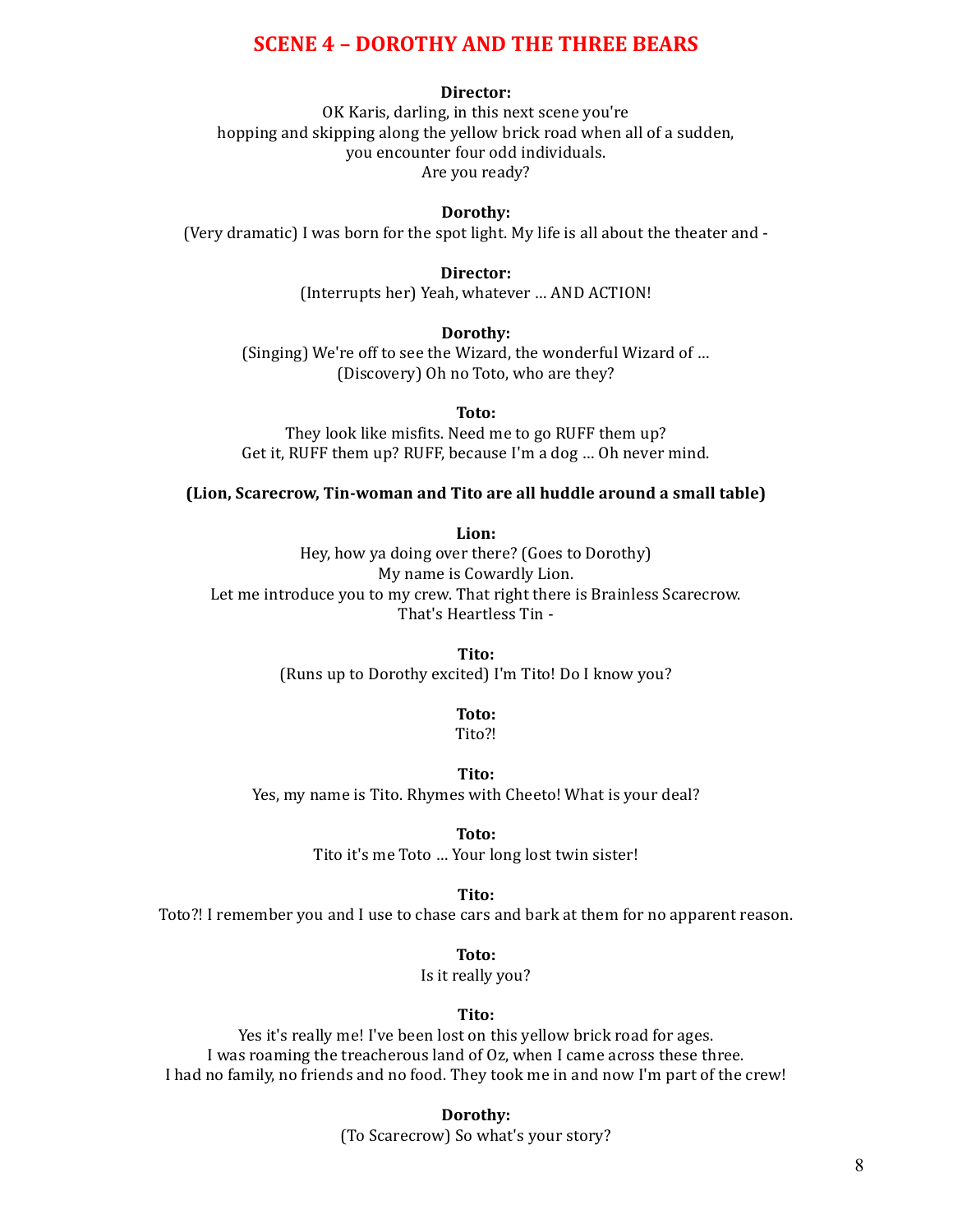# **SCENE 4 - DOROTHY AND THE THREE BEARS**

#### **Director:**

OK Karis, darling, in this next scene you're hopping and skipping along the yellow brick road when all of a sudden, you encounter four odd individuals. Are you ready?

#### **Dorothy:**

(Very dramatic) I was born for the spot light. My life is all about the theater and  $-$ 

## **Director:**

(Interrupts her) Yeah, whatever ... AND ACTION!

### **Dorothy:**

(Singing) We're off to see the Wizard, the wonderful Wizard of ... (Discovery) Oh no Toto, who are they?

**Toto:**

They look like misfits. Need me to go RUFF them up? Get it, RUFF them up? RUFF, because I'm a dog ... Oh never mind.

#### **(Lion, Scarecrow, Tin-woman and Tito are all huddle around a small table)**

**Lion:**

Hey, how ya doing over there? (Goes to Dorothy) My name is Cowardly Lion. Let me introduce you to my crew. That right there is Brainless Scarecrow. That's Heartless Tin -

**Tito:**

(Runs up to Dorothy excited) I'm Tito! Do I know you?

**Toto:**

Tito?!

**Tito:**

Yes, my name is Tito. Rhymes with Cheeto! What is your deal?

**Toto:**

Tito it's me Toto ... Your long lost twin sister!

**Tito:**

Toto?! I remember you and I use to chase cars and bark at them for no apparent reason.

**Toto:**

Is it really you?

### **Tito:**

Yes it's really me! I've been lost on this yellow brick road for ages. I was roaming the treacherous land of Oz, when I came across these three. I had no family, no friends and no food. They took me in and now I'm part of the crew!

**Dorothy:**

(To Scarecrow) So what's your story?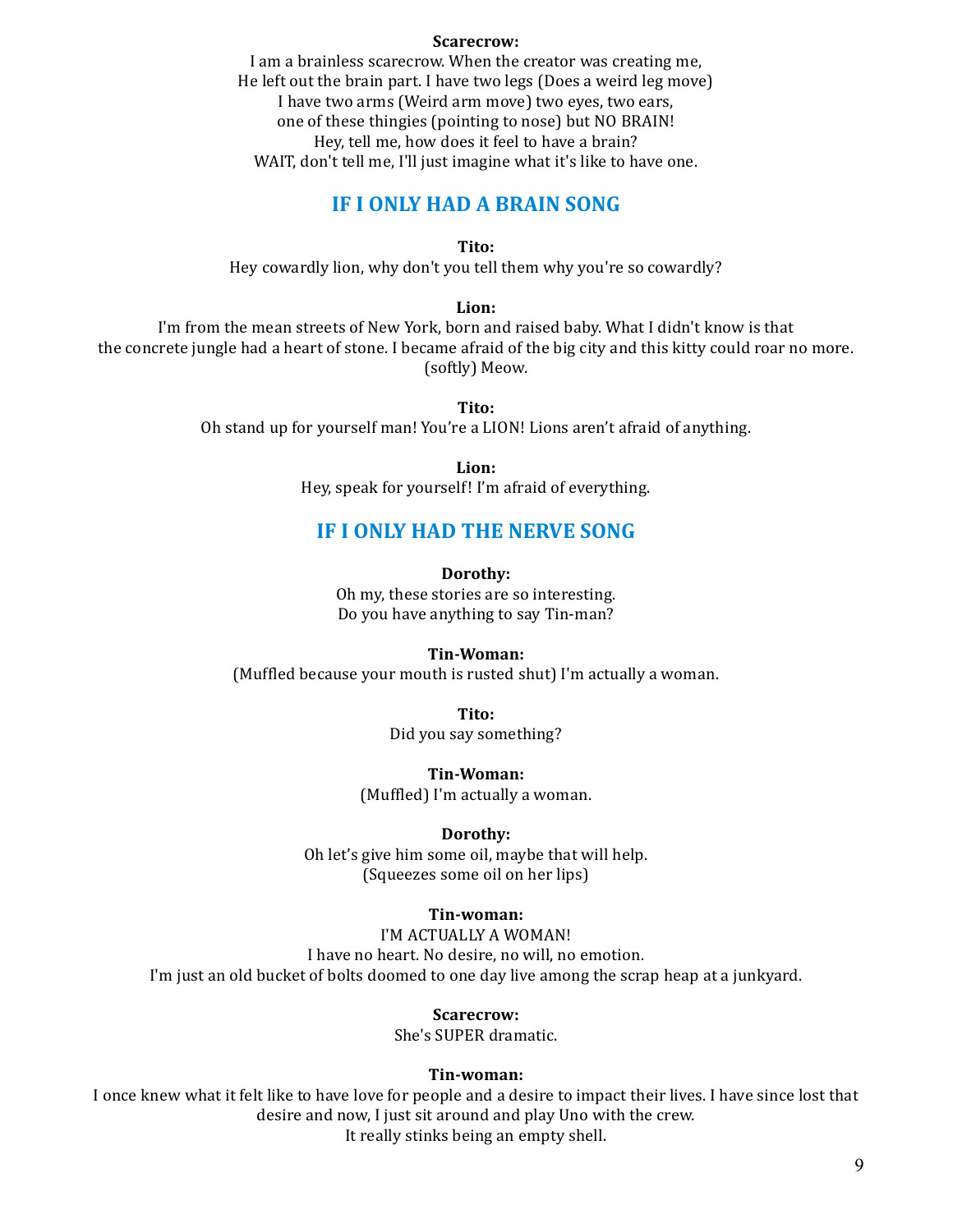#### **Scarecrow:**

I am a brainless scarecrow. When the creator was creating me, He left out the brain part. I have two legs (Does a weird leg move) I have two arms (Weird arm move) two eyes, two ears, one of these thingies (pointing to nose) but NO BRAIN! Hey, tell me, how does it feel to have a brain? WAIT, don't tell me, I'll just imagine what it's like to have one.

# **IF I ONLY HAD A BRAIN SONG**

**Tito:**

Hey cowardly lion, why don't you tell them why you're so cowardly?

## **Lion:**

I'm from the mean streets of New York, born and raised baby. What I didn't know is that the concrete jungle had a heart of stone. I became afraid of the big city and this kitty could roar no more. (softly) Meow.

**Tito:**

Oh stand up for yourself man! You're a LION! Lions aren't afraid of anything.

**Lion:**

Hey, speak for yourself! I'm afraid of everything.

# **IF I ONLY HAD THE NERVE SONG**

**Dorothy:**

Oh my, these stories are so interesting. Do you have anything to say Tin-man?

#### **Tin-Woman:**

(Muffled because your mouth is rusted shut) I'm actually a woman.

**Tito:** Did you say something?

**Tin-Woman:**

(Muffled) I'm actually a woman.

#### **Dorothy:**

Oh let's give him some oil, maybe that will help. (Squeezes some oil on her lips)

### **Tin-woman:**

I'M ACTUALLY A WOMAN! I have no heart. No desire, no will, no emotion. I'm just an old bucket of bolts doomed to one day live among the scrap heap at a junkyard.

#### **Scarecrow:**

She's SUPER dramatic.

#### **Tin-woman:**

I once knew what it felt like to have love for people and a desire to impact their lives. I have since lost that desire and now, I just sit around and play Uno with the crew. It really stinks being an empty shell.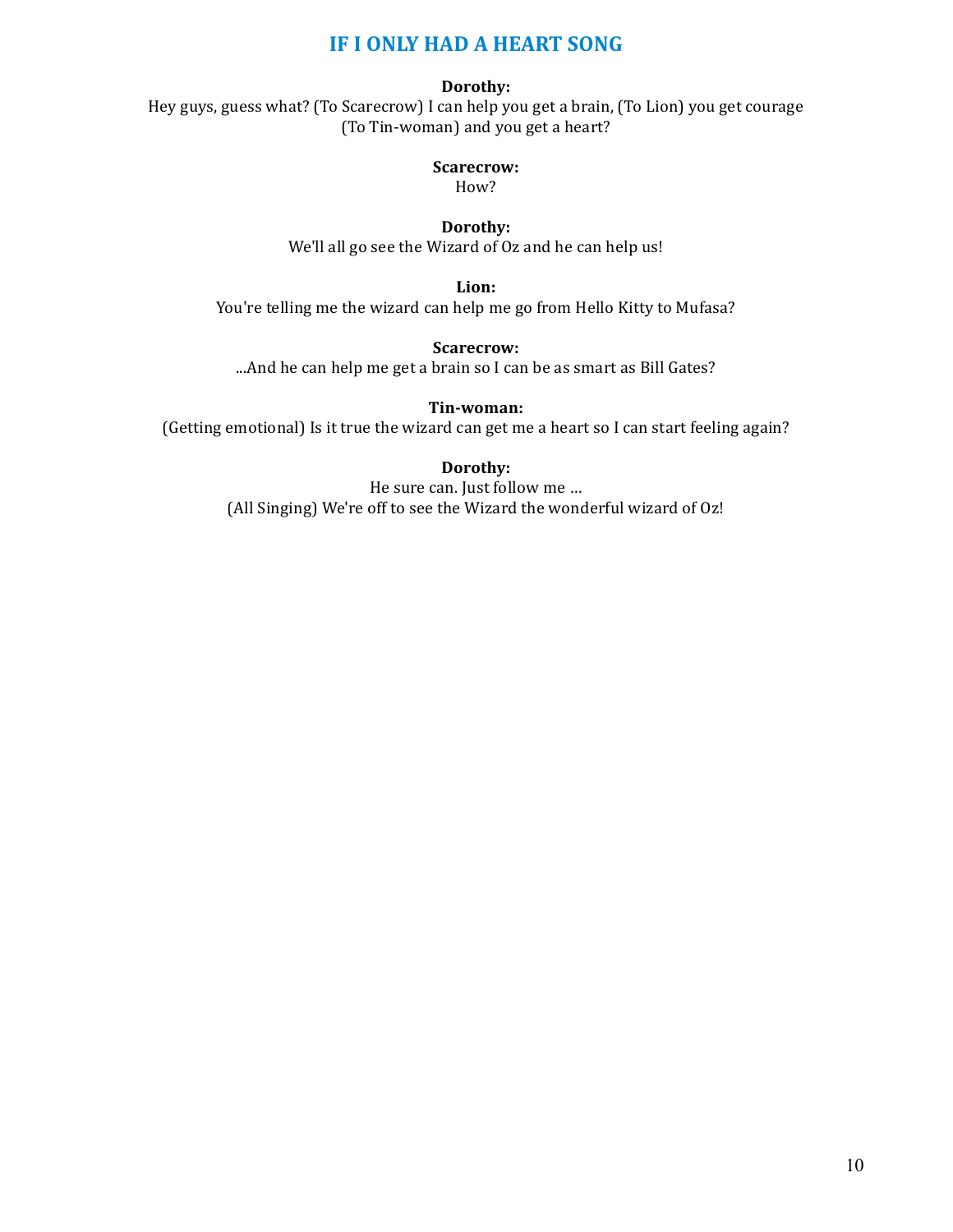# **IF I ONLY HAD A HEART SONG**

# **Dorothy:**

Hey guys, guess what? (To Scarecrow) I can help you get a brain, (To Lion) you get courage (To Tin-woman) and you get a heart?

# **Scarecrow:**

How?

**Dorothy:** We'll all go see the Wizard of Oz and he can help us!

**Lion:**

You're telling me the wizard can help me go from Hello Kitty to Mufasa?

**Scarecrow:**

...And he can help me get a brain so I can be as smart as Bill Gates?

**Tin-woman:**

(Getting emotional) Is it true the wizard can get me a heart so I can start feeling again?

# **Dorothy:**

He sure can. Just follow me ... (All Singing) We're off to see the Wizard the wonderful wizard of Oz!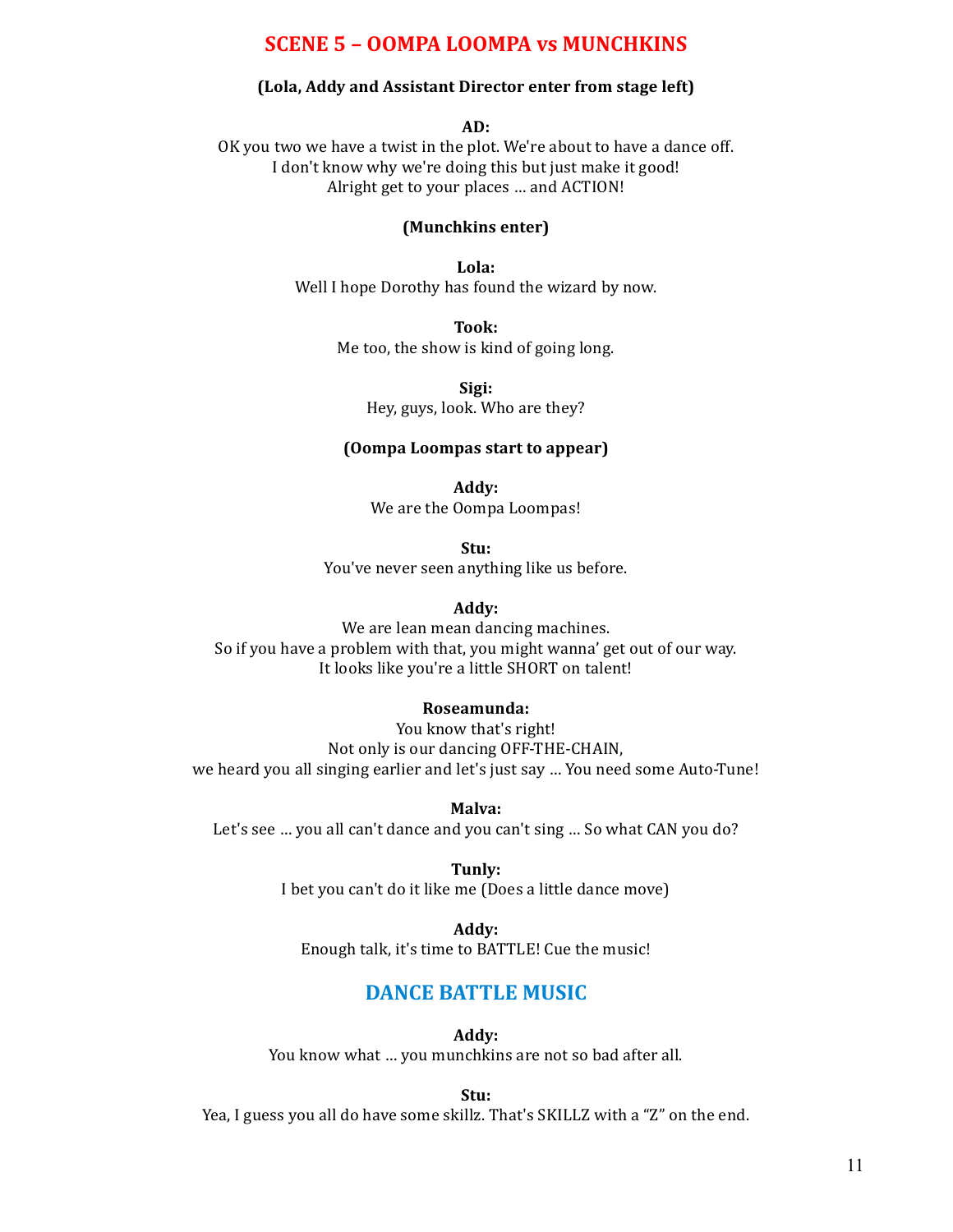# **SCENE 5 - OOMPA LOOMPA vs MUNCHKINS**

### **(Lola, Addy and Assistant Director enter from stage left)**

#### **AD:**

OK you two we have a twist in the plot. We're about to have a dance off. I don't know why we're doing this but just make it good! Alright get to your places ... and ACTION!

### **(Munchkins enter)**

**Lola:** Well I hope Dorothy has found the wizard by now.

### **Took:**

Me too, the show is kind of going long.

**Sigi:** Hey, guys, look. Who are they?

### **(Oompa Loompas start to appear)**

**Addy:** We are the Oompa Loompas!

**Stu:** You've never seen anything like us before.

#### **Addy:**

We are lean mean dancing machines. So if you have a problem with that, you might wanna' get out of our way. It looks like you're a little SHORT on talent!

#### **Roseamunda:**

You know that's right! Not only is our dancing OFF-THE-CHAIN, we heard you all singing earlier and let's just say ... You need some Auto-Tune!

**Malva:**

Let's see ... you all can't dance and you can't sing ... So what CAN you do?

**Tunly:** I bet you can't do it like me (Does a little dance move)

**Addy:** Enough talk, it's time to BATTLE! Cue the music!

# **DANCE BATTLE MUSIC**

**Addy:**

You know what ... you munchkins are not so bad after all.

**Stu:**

Yea, I guess you all do have some skillz. That's SKILLZ with a "Z" on the end.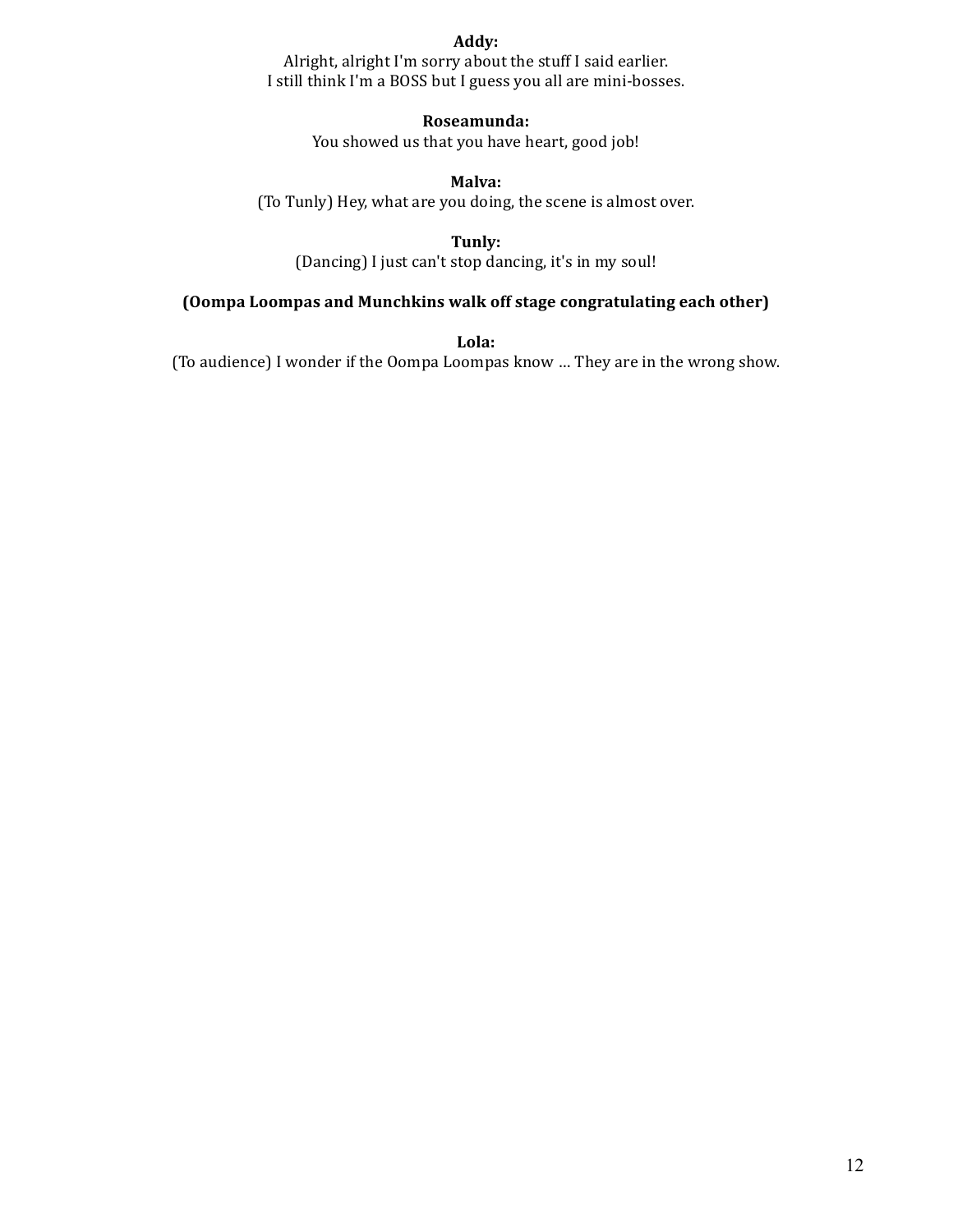## **Addy:**

Alright, alright I'm sorry about the stuff I said earlier. I still think I'm a BOSS but I guess you all are mini-bosses.

# **Roseamunda:**

You showed us that you have heart, good job!

# **Malva:**

(To Tunly) Hey, what are you doing, the scene is almost over.

**Tunly:**

(Dancing) I just can't stop dancing, it's in my soul!

# **(Oompa Loompas and Munchkins walk off stage congratulating each other)**

**Lola:**

(To audience) I wonder if the Oompa Loompas know ... They are in the wrong show.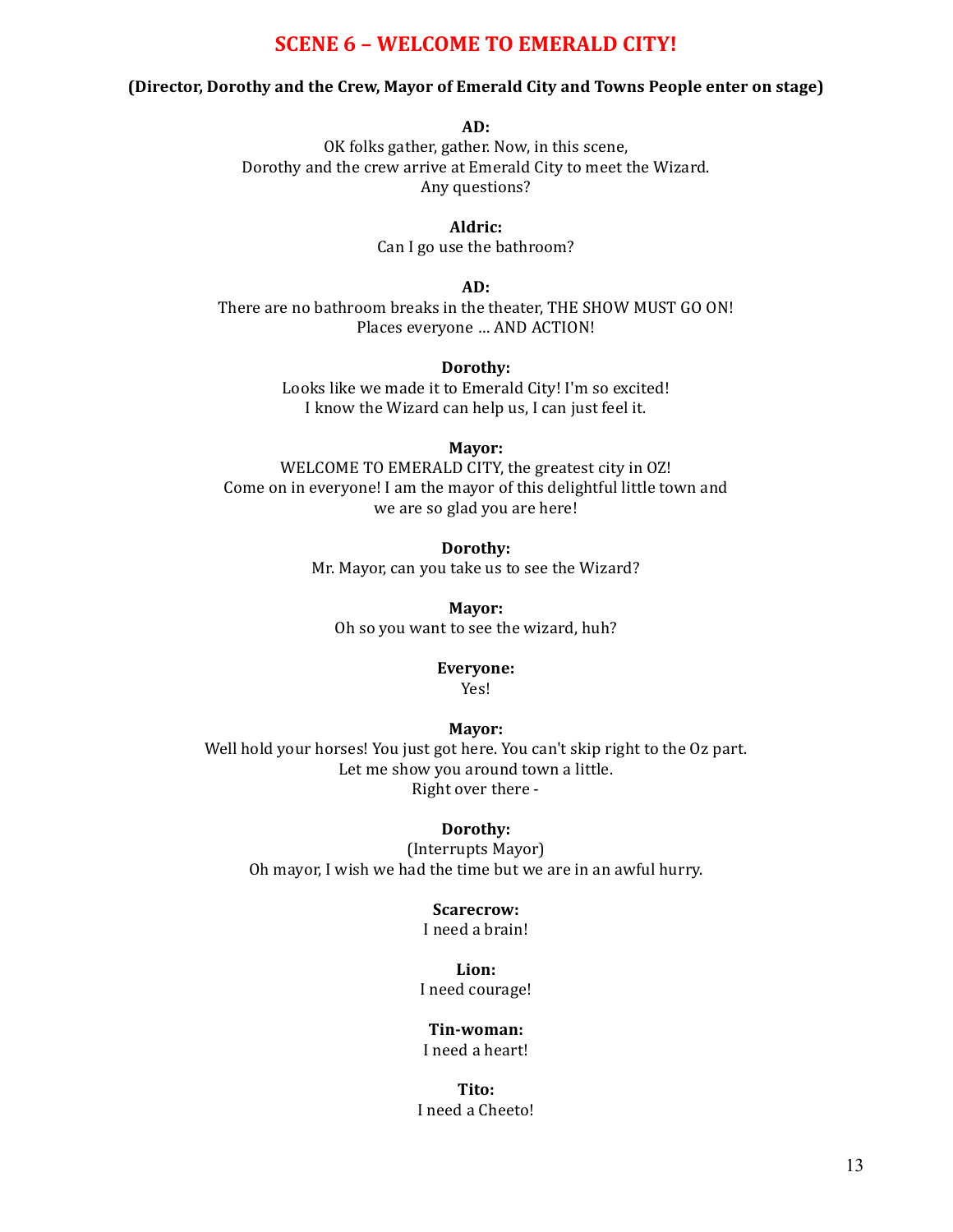# **SCENE 6 - WELCOME TO EMERALD CITY!**

## **(Director, Dorothy and the Crew, Mayor of Emerald City and Towns People enter on stage)**

**AD:**

OK folks gather, gather. Now, in this scene, Dorothy and the crew arrive at Emerald City to meet the Wizard. Any questions?

> **Aldric:** Can I go use the bathroom?

> > **AD:**

There are no bathroom breaks in the theater, THE SHOW MUST GO ON! Places everyone ... AND ACTION!

## **Dorothy:**

Looks like we made it to Emerald City! I'm so excited! I know the Wizard can help us, I can just feel it.

**Mayor:**

WELCOME TO EMERALD CITY, the greatest city in OZ! Come on in everyone! I am the mayor of this delightful little town and we are so glad you are here!

# **Dorothy:**

Mr. Mayor, can you take us to see the Wizard?

**Mayor:** Oh so you want to see the wizard, huh?

# **Everyone:**

Yes!

### **Mayor:**

Well hold your horses! You just got here. You can't skip right to the Oz part. Let me show you around town a little. Right over there -

## **Dorothy:**

(Interrupts Mayor) Oh mayor, I wish we had the time but we are in an awful hurry.

# **Scarecrow:**

I need a brain!

# **Lion:**

I need courage!

# **Tin-woman:**

I need a heart!

#### **Tito:** I need a Cheeto!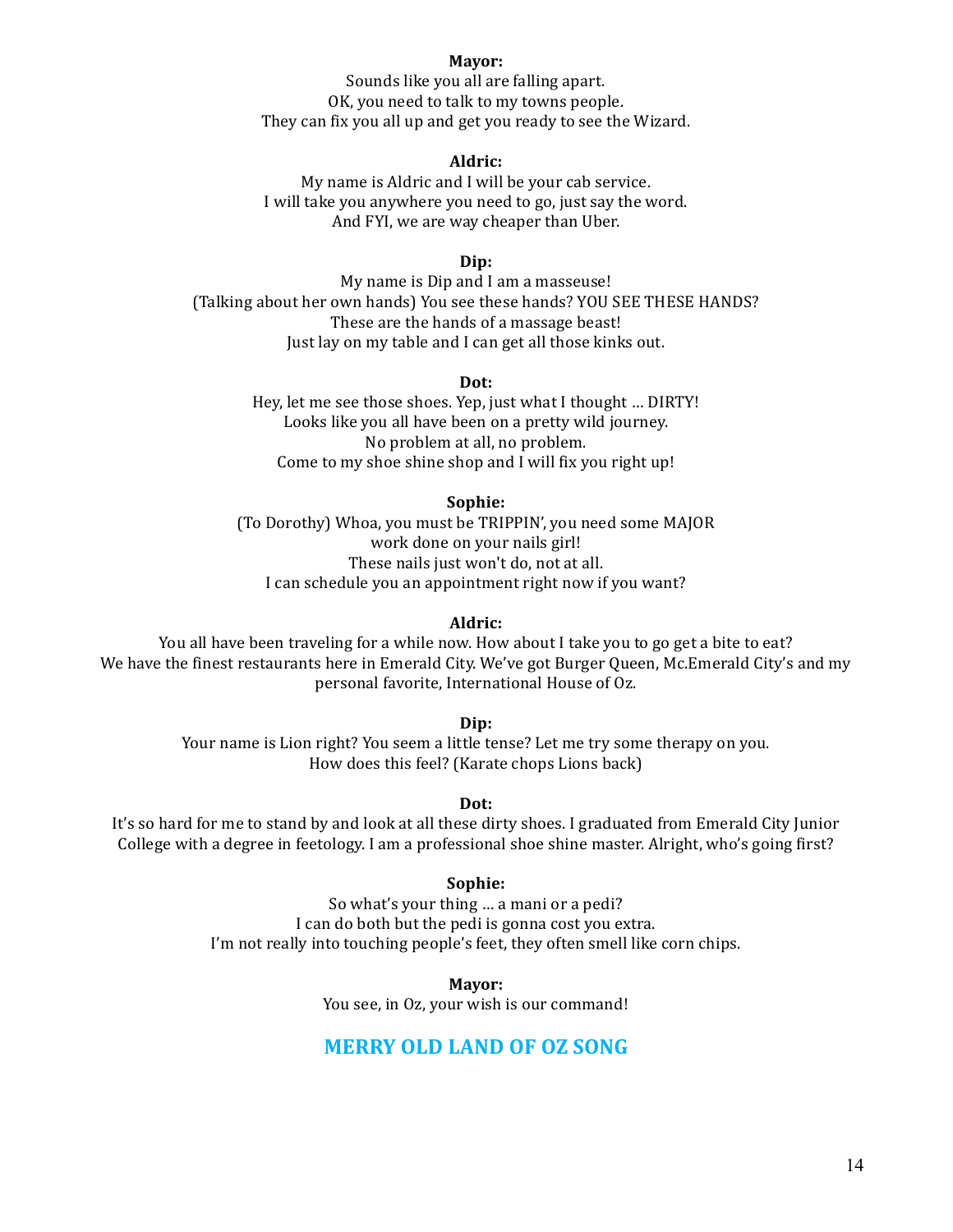#### **Mayor:**

Sounds like you all are falling apart. OK, you need to talk to my towns people. They can fix you all up and get you ready to see the Wizard.

#### **Aldric:**

My name is Aldric and I will be your cab service. I will take you anywhere you need to go, just say the word. And FYI, we are way cheaper than Uber.

#### **Dip:**

My name is Dip and I am a masseuse! (Talking about her own hands) You see these hands? YOU SEE THESE HANDS? These are the hands of a massage beast! Just lay on my table and I can get all those kinks out.

#### **Dot:**

Hey, let me see those shoes. Yep, just what I thought ... DIRTY! Looks like you all have been on a pretty wild journey. No problem at all, no problem. Come to my shoe shine shop and I will fix you right up!

#### **Sophie:**

(To Dorothy) Whoa, you must be TRIPPIN', you need some MAJOR work done on your nails girl! These nails just won't do, not at all. I can schedule you an appointment right now if you want?

#### **Aldric:**

You all have been traveling for a while now. How about I take you to go get a bite to eat? We have the finest restaurants here in Emerald City. We've got Burger Queen, Mc.Emerald City's and my personal favorite, International House of Oz.

**Dip:**

Your name is Lion right? You seem a little tense? Let me try some therapy on you. How does this feel? (Karate chops Lions back)

#### Dot:

It's so hard for me to stand by and look at all these dirty shoes. I graduated from Emerald City Junior College with a degree in feetology. I am a professional shoe shine master. Alright, who's going first?

#### **Sophie:**

So what's your thing ... a mani or a pedi? I can do both but the pedi is gonna cost you extra. I'm not really into touching people's feet, they often smell like corn chips.

**Mayor:**

You see, in Oz, your wish is our command!

# **MERRY OLD LAND OF OZ SONG**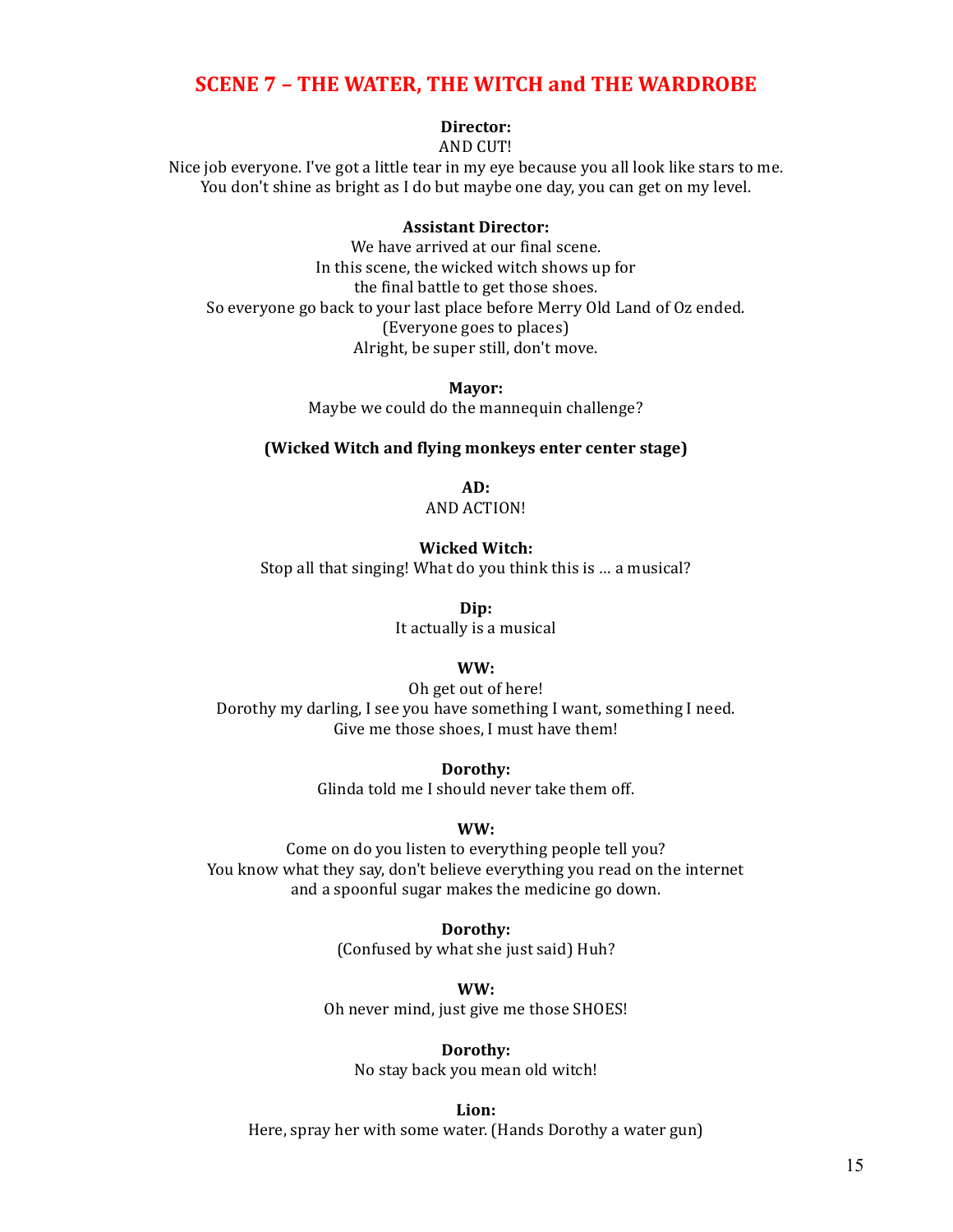# **SCENE 7 - THE WATER, THE WITCH and THE WARDROBE**

# **Director:**

AND CUT!

Nice job everyone. I've got a little tear in my eye because you all look like stars to me. You don't shine as bright as I do but maybe one day, you can get on my level.

### **Assistant Director:**

We have arrived at our final scene. In this scene, the wicked witch shows up for the final battle to get those shoes. So everyone go back to your last place before Merry Old Land of Oz ended. (Everyone goes to places) Alright, be super still, don't move.

> **Mayor:** Maybe we could do the mannequin challenge?

#### **(Wicked Witch and flying monkeys enter center stage)**

**AD:** AND ACTION!

#### **Wicked Witch:**

Stop all that singing! What do you think this is ... a musical?

**Dip:** It actually is a musical

### **WW:**

Oh get out of here! Dorothy my darling, I see you have something I want, something I need. Give me those shoes, I must have them!

**Dorothy:**

Glinda told me I should never take them off.

### **WW:**

Come on do you listen to everything people tell you? You know what they say, don't believe everything you read on the internet and a spoonful sugar makes the medicine go down.

**Dorothy:**

(Confused by what she just said) Huh?

**WW:** Oh never mind, just give me those SHOES!

#### **Dorothy:**

No stay back you mean old witch!

**Lion:**

Here, spray her with some water. (Hands Dorothy a water gun)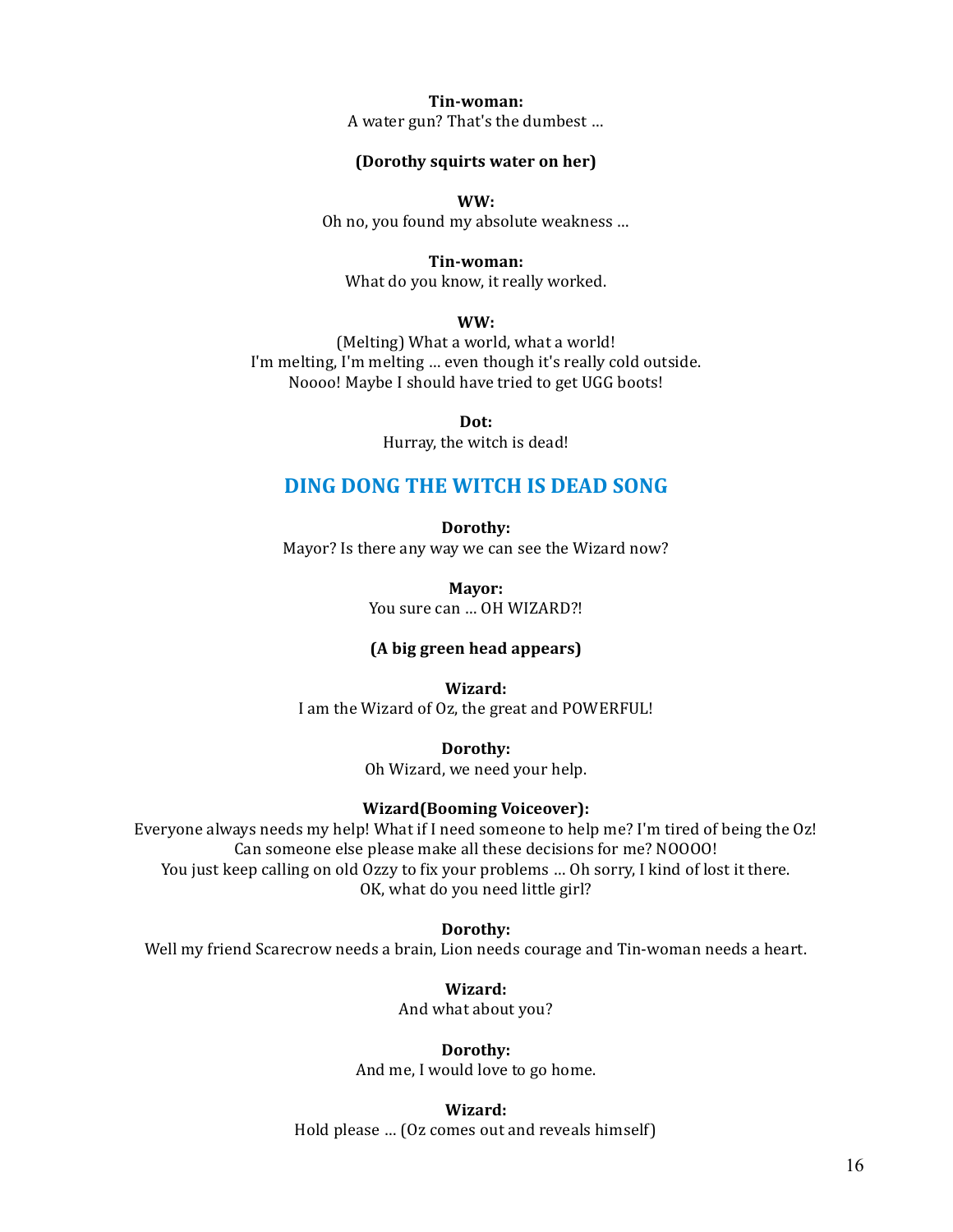**Tin-woman:** A water gun? That's the dumbest ...

#### **(Dorothy squirts water on her)**

**WW:**

Oh no, you found my absolute weakness ...

**Tin-woman:**

What do you know, it really worked.

**WW:**

(Melting) What a world, what a world! I'm melting, I'm melting ... even though it's really cold outside. Noooo! Maybe I should have tried to get UGG boots!

**Dot:**

Hurray, the witch is dead!

# **DING DONG THE WITCH IS DEAD SONG**

**Dorothy:** Mayor? Is there any way we can see the Wizard now?

> **Mayor:** You sure can ... OH WIZARD?!

#### **(A big green head appears)**

**Wizard:**

I am the Wizard of Oz, the great and POWERFUL!

**Dorothy:** Oh Wizard, we need your help.

#### **Wizard(Booming Voiceover):**

Everyone always needs my help! What if I need someone to help me? I'm tired of being the Oz! Can someone else please make all these decisions for me? NOOOO! You just keep calling on old Ozzy to fix your problems ... Oh sorry, I kind of lost it there. OK, what do you need little girl?

**Dorothy:**

Well my friend Scarecrow needs a brain, Lion needs courage and Tin-woman needs a heart.

**Wizard:** And what about you?

**Dorothy:** And me, I would love to go home.

**Wizard:** Hold please ... (Oz comes out and reveals himself)